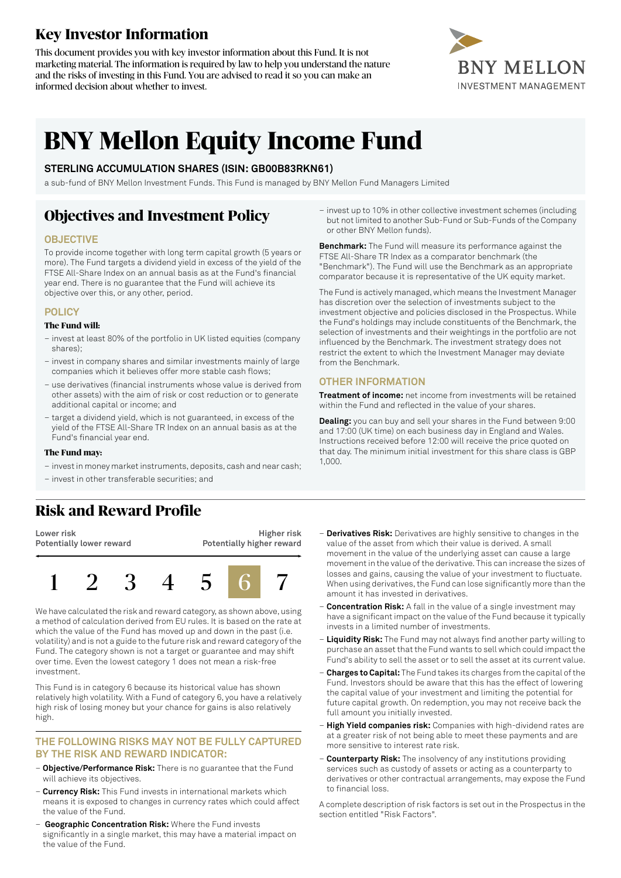## **Key Investor Information**

This document provides you with key investor information about this Fund. It is not marketing material. The information is required by law to help you understand the nature and the risks of investing in this Fund. You are advised to read it so you can make an informed decision about whether to invest.



# **BNY Mellon Equity Income Fund**

### **STERLING ACCUMULATION SHARES (ISIN: GB00B83RKN61)**

a sub-fund of BNY Mellon Investment Funds. This Fund is managed by BNY Mellon Fund Managers Limited

## **Objectives and Investment Policy**

### **OBJECTIVE**

To provide income together with long term capital growth (5 years or more). The Fund targets a dividend yield in excess of the yield of the FTSE All-Share Index on an annual basis as at the Fund's financial year end. There is no guarantee that the Fund will achieve its objective over this, or any other, period.

### **POLICY**

#### **The Fund will:**

- invest at least 80% of the portfolio in UK listed equities (company shares);
- invest in company shares and similar investments mainly of large companies which it believes offer more stable cash flows;
- use derivatives (financial instruments whose value is derived from other assets) with the aim of risk or cost reduction or to generate additional capital or income; and
- target a dividend yield, which is not guaranteed, in excess of the yield of the FTSE All-Share TR Index on an annual basis as at the Fund's financial year end.

#### **The Fund may:**

- investin money marketinstruments, deposits, cash and near cash;
- invest in other transferable securities; and

– invest up to 10% in other collective investment schemes (including but not limited to another Sub-Fund or Sub-Funds of the Company or other BNY Mellon funds).

**Benchmark:** The Fund will measure its performance against the FTSE All-Share TR Index as a comparator benchmark (the "Benchmark"). The Fund will use the Benchmark as an appropriate comparator because it is representative of the UK equity market.

The Fund is actively managed, which means the Investment Manager has discretion over the selection of investments subject to the investment objective and policies disclosed in the Prospectus. While the Fund's holdings may include constituents of the Benchmark, the selection of investments and their weightings in the portfolio are not influenced by the Benchmark. The investment strategy does not restrict the extent to which the Investment Manager may deviate from the Benchmark.

### **OTHER INFORMATION**

**Treatment of income:** net income from investments will be retained within the Fund and reflected in the value of your shares.

**Dealing:** you can buy and sell your shares in the Fund between 9:00 and 17:00 (UK time) on each business day in England and Wales. Instructions received before 12:00 will receive the price quoted on that day. The minimum initial investment for this share class is GBP 1,000.

### **Risk and Reward Profile**

**Lower risk Potentially lower reward**





We have calculated the risk and reward category, as shown above, using a method of calculation derived from EU rules. It is based on the rate at which the value of the Fund has moved up and down in the past (i.e. volatility) and is not a guide to the future risk and reward category of the Fund. The category shown is not a target or guarantee and may shift over time. Even the lowest category 1 does not mean a risk-free investment.

This Fund is in category 6 because its historical value has shown relatively high volatility. With a Fund of category 6, you have a relatively high risk of losing money but your chance for gains is also relatively high.

### **THE FOLLOWING RISKS MAY NOT BE FULLY CAPTURED BY THE RISK AND REWARD INDICATOR:**

- **Objective/Performance Risk:** There is no guarantee that the Fund will achieve its objectives.
- **Currency Risk:** This Fund invests in international markets which means it is exposed to changes in currency rates which could affect the value of the Fund.
- **Geographic Concentration Risk:** Where the Fund invests significantly in a single market, this may have a material impact on the value of the Fund.
- **Derivatives Risk:** Derivatives are highly sensitive to changes in the value of the asset from which their value is derived. A small movement in the value of the underlying asset can cause a large movement in the value of the derivative. This can increase the sizes of losses and gains, causing the value of your investment to fluctuate. When using derivatives, the Fund can lose significantly more than the amount it has invested in derivatives.
- **Concentration Risk:** A fall in the value of a single investment may have a significant impact on the value of the Fund because it typically invests in a limited number of investments.
- **Liquidity Risk:** The Fund may not always find another party willing to purchase an asset that the Fund wants to sell which could impact the Fund's ability to sell the asset or to sell the asset at its current value.
- **Charges to Capital:** The Fund takes its charges from the capital ofthe Fund. Investors should be aware that this has the effect of lowering the capital value of your investment and limiting the potential for future capital growth. On redemption, you may not receive back the full amount you initially invested.
- **High Yield companies risk:** Companies with high-dividend rates are at a greater risk of not being able to meet these payments and are more sensitive to interest rate risk.
- **Counterparty Risk:** The insolvency of any institutions providing services such as custody of assets or acting as a counterparty to derivatives or other contractual arrangements, may expose the Fund to financial loss.

A complete description of risk factors is set out in the Prospectus in the section entitled "Risk Factors".